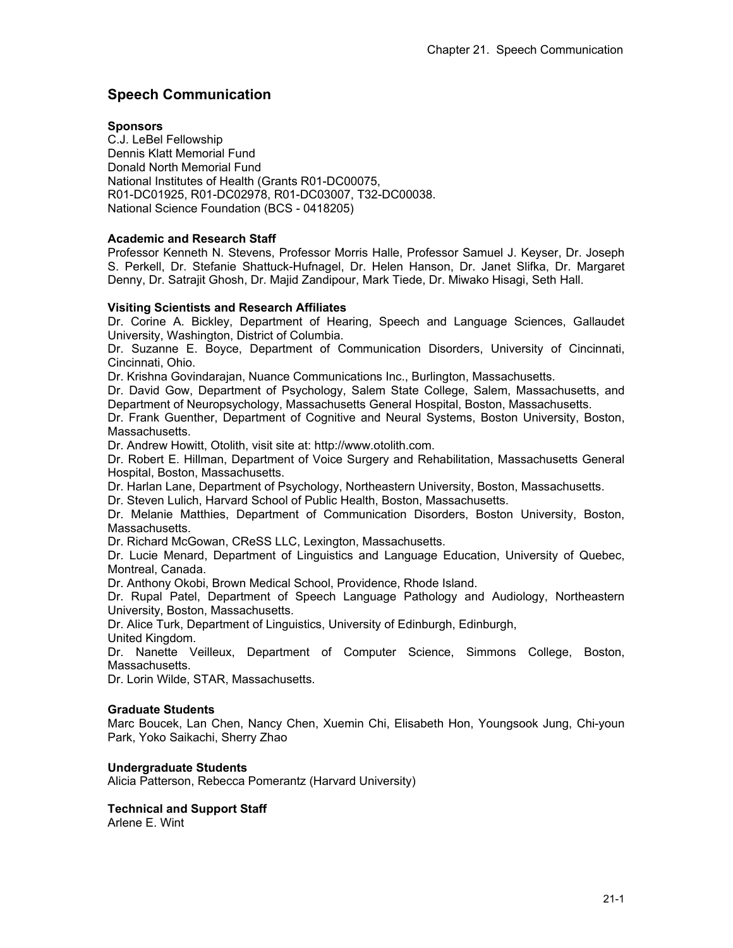# **Speech Communication**

#### **Sponsors**

C.J. LeBel Fellowship Dennis Klatt Memorial Fund Donald North Memorial Fund National Institutes of Health (Grants R01-DC00075, R01-DC01925, R01-DC02978, R01-DC03007, T32-DC00038. National Science Foundation (BCS - 0418205)

## **Academic and Research Staff**

Professor Kenneth N. Stevens, Professor Morris Halle, Professor Samuel J. Keyser, Dr. Joseph S. Perkell, Dr. Stefanie Shattuck-Hufnagel, Dr. Helen Hanson, Dr. Janet Slifka, Dr. Margaret Denny, Dr. Satrajit Ghosh, Dr. Majid Zandipour, Mark Tiede, Dr. Miwako Hisagi, Seth Hall.

## **Visiting Scientists and Research Affiliates**

Dr. Corine A. Bickley, Department of Hearing, Speech and Language Sciences, Gallaudet University, Washington, District of Columbia.

Dr. Suzanne E. Boyce, Department of Communication Disorders, University of Cincinnati, Cincinnati, Ohio.

Dr. Krishna Govindarajan, Nuance Communications Inc., Burlington, Massachusetts.

Dr. David Gow, Department of Psychology, Salem State College, Salem, Massachusetts, and Department of Neuropsychology, Massachusetts General Hospital, Boston, Massachusetts.

Dr. Frank Guenther, Department of Cognitive and Neural Systems, Boston University, Boston, Massachusetts.

Dr. Andrew Howitt, Otolith, visit site at: http://www.otolith.com.

Dr. Robert E. Hillman, Department of Voice Surgery and Rehabilitation, Massachusetts General Hospital, Boston, Massachusetts.

Dr. Harlan Lane, Department of Psychology, Northeastern University, Boston, Massachusetts.

Dr. Steven Lulich, Harvard School of Public Health, Boston, Massachusetts.

Dr. Melanie Matthies, Department of Communication Disorders, Boston University, Boston, Massachusetts.

Dr. Richard McGowan, CReSS LLC, Lexington, Massachusetts.

Dr. Lucie Menard, Department of Linguistics and Language Education, University of Quebec, Montreal, Canada.

Dr. Anthony Okobi, Brown Medical School, Providence, Rhode Island.

Dr. Rupal Patel, Department of Speech Language Pathology and Audiology, Northeastern University, Boston, Massachusetts.

Dr. Alice Turk, Department of Linguistics, University of Edinburgh, Edinburgh,

United Kingdom.

Dr. Nanette Veilleux, Department of Computer Science, Simmons College, Boston, Massachusetts.

Dr. Lorin Wilde, STAR, Massachusetts.

#### **Graduate Students**

Marc Boucek, Lan Chen, Nancy Chen, Xuemin Chi, Elisabeth Hon, Youngsook Jung, Chi-youn Park, Yoko Saikachi, Sherry Zhao

#### **Undergraduate Students**

Alicia Patterson, Rebecca Pomerantz (Harvard University)

# **Technical and Support Staff**

Arlene E. Wint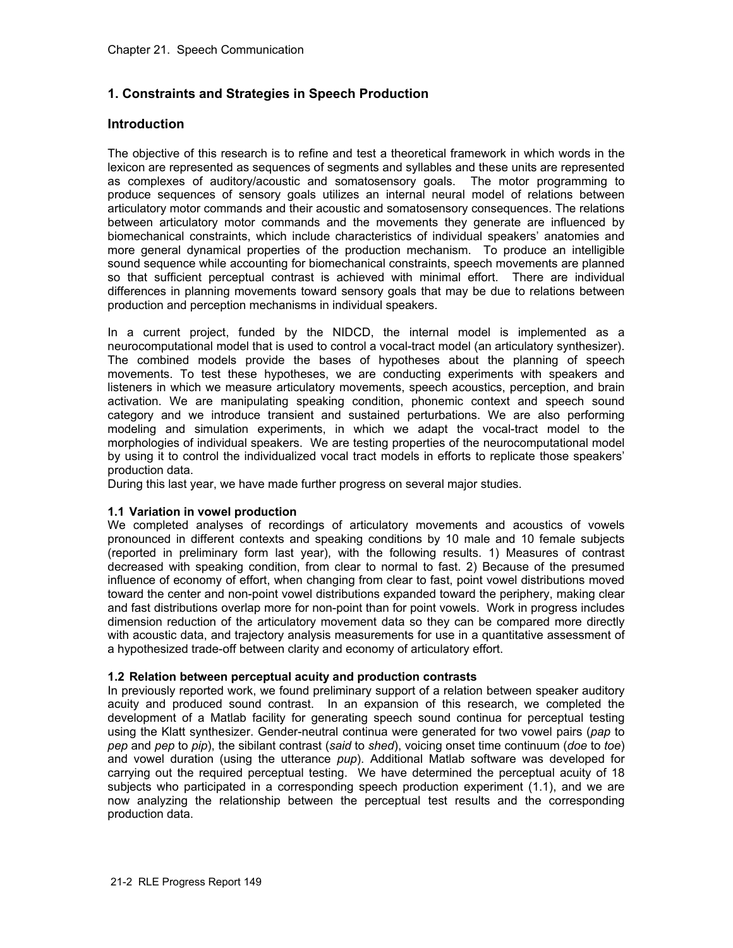# **1. Constraints and Strategies in Speech Production**

# **Introduction**

The objective of this research is to refine and test a theoretical framework in which words in the lexicon are represented as sequences of segments and syllables and these units are represented as complexes of auditory/acoustic and somatosensory goals. The motor programming to produce sequences of sensory goals utilizes an internal neural model of relations between articulatory motor commands and their acoustic and somatosensory consequences. The relations between articulatory motor commands and the movements they generate are influenced by biomechanical constraints, which include characteristics of individual speakers' anatomies and more general dynamical properties of the production mechanism. To produce an intelligible sound sequence while accounting for biomechanical constraints, speech movements are planned so that sufficient perceptual contrast is achieved with minimal effort. There are individual differences in planning movements toward sensory goals that may be due to relations between production and perception mechanisms in individual speakers.

In a current project, funded by the NIDCD, the internal model is implemented as a neurocomputational model that is used to control a vocal-tract model (an articulatory synthesizer). The combined models provide the bases of hypotheses about the planning of speech movements. To test these hypotheses, we are conducting experiments with speakers and listeners in which we measure articulatory movements, speech acoustics, perception, and brain activation. We are manipulating speaking condition, phonemic context and speech sound category and we introduce transient and sustained perturbations. We are also performing modeling and simulation experiments, in which we adapt the vocal-tract model to the morphologies of individual speakers. We are testing properties of the neurocomputational model by using it to control the individualized vocal tract models in efforts to replicate those speakers' production data.

During this last year, we have made further progress on several major studies.

#### **1.1 Variation in vowel production**

We completed analyses of recordings of articulatory movements and acoustics of vowels pronounced in different contexts and speaking conditions by 10 male and 10 female subjects (reported in preliminary form last year), with the following results. 1) Measures of contrast decreased with speaking condition, from clear to normal to fast. 2) Because of the presumed influence of economy of effort, when changing from clear to fast, point vowel distributions moved toward the center and non-point vowel distributions expanded toward the periphery, making clear and fast distributions overlap more for non-point than for point vowels. Work in progress includes dimension reduction of the articulatory movement data so they can be compared more directly with acoustic data, and trajectory analysis measurements for use in a quantitative assessment of a hypothesized trade-off between clarity and economy of articulatory effort.

#### **1.2 Relation between perceptual acuity and production contrasts**

In previously reported work, we found preliminary support of a relation between speaker auditory acuity and produced sound contrast. In an expansion of this research, we completed the development of a Matlab facility for generating speech sound continua for perceptual testing using the Klatt synthesizer. Gender-neutral continua were generated for two vowel pairs (*pap* to *pep* and *pep* to *pip*), the sibilant contrast (*said* to *shed*), voicing onset time continuum (*doe* to *toe*) and vowel duration (using the utterance *pup*). Additional Matlab software was developed for carrying out the required perceptual testing. We have determined the perceptual acuity of 18 subjects who participated in a corresponding speech production experiment (1.1), and we are now analyzing the relationship between the perceptual test results and the corresponding production data.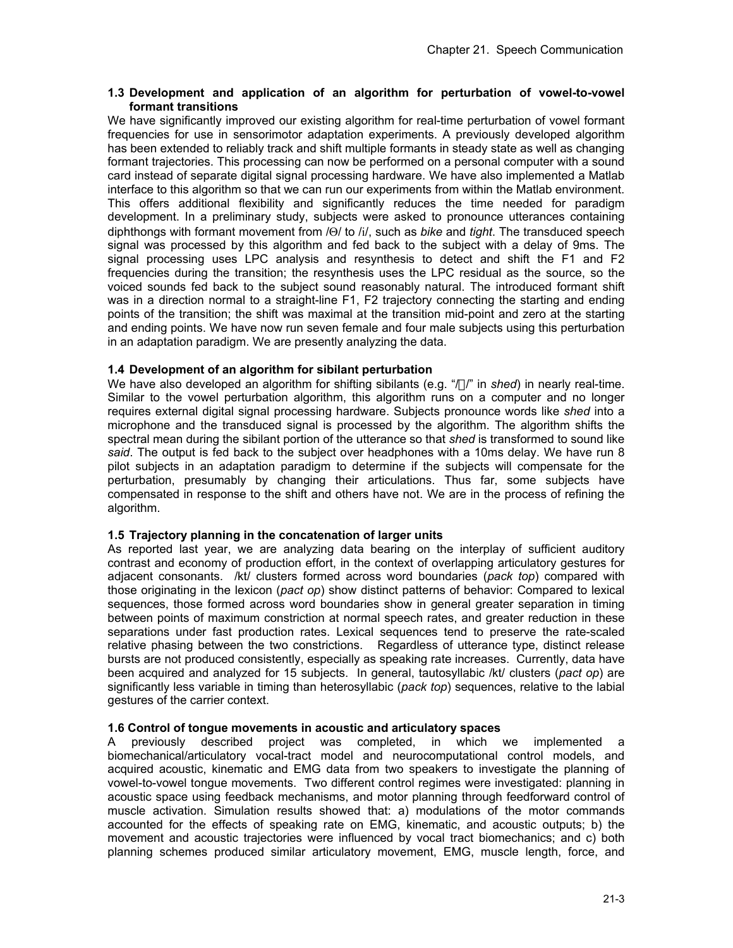## **1.3 Development and application of an algorithm for perturbation of vowel-to-vowel formant transitions**

We have significantly improved our existing algorithm for real-time perturbation of vowel formant frequencies for use in sensorimotor adaptation experiments. A previously developed algorithm has been extended to reliably track and shift multiple formants in steady state as well as changing formant trajectories. This processing can now be performed on a personal computer with a sound card instead of separate digital signal processing hardware. We have also implemented a Matlab interface to this algorithm so that we can run our experiments from within the Matlab environment. This offers additional flexibility and significantly reduces the time needed for paradigm development. In a preliminary study, subjects were asked to pronounce utterances containing diphthongs with formant movement from /Θ/ to /i/, such as *bike* and *tight*. The transduced speech signal was processed by this algorithm and fed back to the subject with a delay of 9ms. The signal processing uses LPC analysis and resynthesis to detect and shift the F1 and F2 frequencies during the transition; the resynthesis uses the LPC residual as the source, so the voiced sounds fed back to the subject sound reasonably natural. The introduced formant shift was in a direction normal to a straight-line F1, F2 trajectory connecting the starting and ending points of the transition; the shift was maximal at the transition mid-point and zero at the starting and ending points. We have now run seven female and four male subjects using this perturbation in an adaptation paradigm. We are presently analyzing the data.

## **1.4 Development of an algorithm for sibilant perturbation**

We have also developed an algorithm for shifting sibilants (e.g. "/ $\Box$ " in *shed*) in nearly real-time. Similar to the vowel perturbation algorithm, this algorithm runs on a computer and no longer requires external digital signal processing hardware. Subjects pronounce words like *shed* into a microphone and the transduced signal is processed by the algorithm. The algorithm shifts the spectral mean during the sibilant portion of the utterance so that *shed* is transformed to sound like *said*. The output is fed back to the subject over headphones with a 10ms delay. We have run 8 pilot subjects in an adaptation paradigm to determine if the subjects will compensate for the perturbation, presumably by changing their articulations. Thus far, some subjects have compensated in response to the shift and others have not. We are in the process of refining the algorithm.

# **1.5 Trajectory planning in the concatenation of larger units**

As reported last year, we are analyzing data bearing on the interplay of sufficient auditory contrast and economy of production effort, in the context of overlapping articulatory gestures for adjacent consonants. /kt/ clusters formed across word boundaries (*pack top*) compared with those originating in the lexicon (*pact op*) show distinct patterns of behavior: Compared to lexical sequences, those formed across word boundaries show in general greater separation in timing between points of maximum constriction at normal speech rates, and greater reduction in these separations under fast production rates. Lexical sequences tend to preserve the rate-scaled relative phasing between the two constrictions. Regardless of utterance type, distinct release bursts are not produced consistently, especially as speaking rate increases. Currently, data have been acquired and analyzed for 15 subjects. In general, tautosyllabic /kt/ clusters (*pact op*) are significantly less variable in timing than heterosyllabic (*pack top*) sequences, relative to the labial gestures of the carrier context.

# **1.6 Control of tongue movements in acoustic and articulatory spaces**

A previously described project was completed, in which we implemented a biomechanical/articulatory vocal-tract model and neurocomputational control models, and acquired acoustic, kinematic and EMG data from two speakers to investigate the planning of vowel-to-vowel tongue movements. Two different control regimes were investigated: planning in acoustic space using feedback mechanisms, and motor planning through feedforward control of muscle activation. Simulation results showed that: a) modulations of the motor commands accounted for the effects of speaking rate on EMG, kinematic, and acoustic outputs; b) the movement and acoustic trajectories were influenced by vocal tract biomechanics; and c) both planning schemes produced similar articulatory movement, EMG, muscle length, force, and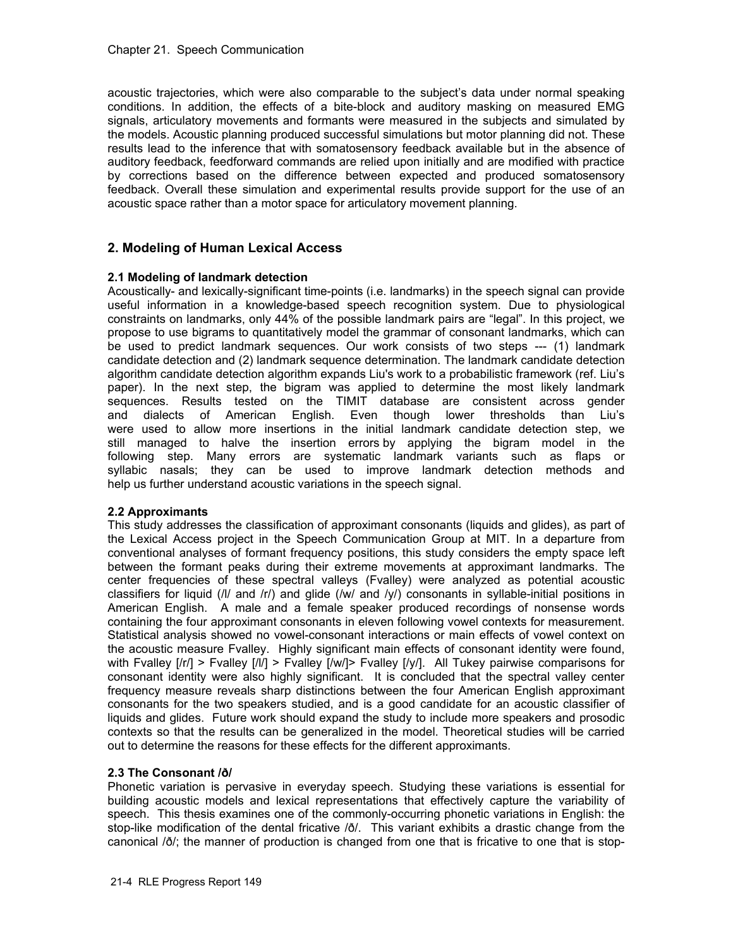acoustic trajectories, which were also comparable to the subject's data under normal speaking conditions. In addition, the effects of a bite-block and auditory masking on measured EMG signals, articulatory movements and formants were measured in the subjects and simulated by the models. Acoustic planning produced successful simulations but motor planning did not. These results lead to the inference that with somatosensory feedback available but in the absence of auditory feedback, feedforward commands are relied upon initially and are modified with practice by corrections based on the difference between expected and produced somatosensory feedback. Overall these simulation and experimental results provide support for the use of an acoustic space rather than a motor space for articulatory movement planning.

# **2. Modeling of Human Lexical Access**

## **2.1 Modeling of landmark detection**

Acoustically- and lexically-significant time-points (i.e. landmarks) in the speech signal can provide useful information in a knowledge-based speech recognition system. Due to physiological constraints on landmarks, only 44% of the possible landmark pairs are "legal". In this project, we propose to use bigrams to quantitatively model the grammar of consonant landmarks, which can be used to predict landmark sequences. Our work consists of two steps --- (1) landmark candidate detection and (2) landmark sequence determination. The landmark candidate detection algorithm candidate detection algorithm expands Liu's work to a probabilistic framework (ref. Liu's paper). In the next step, the bigram was applied to determine the most likely landmark sequences. Results tested on the TIMIT database are consistent across gender and dialects of American English. Even though lower thresholds than Liu's were used to allow more insertions in the initial landmark candidate detection step, we still managed to halve the insertion errors by applying the bigram model in the following step. Many errors are systematic landmark variants such as flaps or syllabic nasals; they can be used to improve landmark detection methods and help us further understand acoustic variations in the speech signal.

#### **2.2 Approximants**

This study addresses the classification of approximant consonants (liquids and glides), as part of the Lexical Access project in the Speech Communication Group at MIT. In a departure from conventional analyses of formant frequency positions, this study considers the empty space left between the formant peaks during their extreme movements at approximant landmarks. The center frequencies of these spectral valleys (Fvalley) were analyzed as potential acoustic classifiers for liquid (/l/ and /r/) and glide (/w/ and /y/) consonants in syllable-initial positions in American English. A male and a female speaker produced recordings of nonsense words containing the four approximant consonants in eleven following vowel contexts for measurement. Statistical analysis showed no vowel-consonant interactions or main effects of vowel context on the acoustic measure Fvalley. Highly significant main effects of consonant identity were found, with Fvalley  $[1/r]$  > Fvalley  $[1/l]$  > Fvalley  $[1/w/$  Fvalley  $[1/w]$ . All Tukey pairwise comparisons for consonant identity were also highly significant. It is concluded that the spectral valley center frequency measure reveals sharp distinctions between the four American English approximant consonants for the two speakers studied, and is a good candidate for an acoustic classifier of liquids and glides. Future work should expand the study to include more speakers and prosodic contexts so that the results can be generalized in the model. Theoretical studies will be carried out to determine the reasons for these effects for the different approximants.

# **2.3 The Consonant /ð/**

Phonetic variation is pervasive in everyday speech. Studying these variations is essential for building acoustic models and lexical representations that effectively capture the variability of speech. This thesis examines one of the commonly-occurring phonetic variations in English: the stop-like modification of the dental fricative /ð/. This variant exhibits a drastic change from the canonical /ð/; the manner of production is changed from one that is fricative to one that is stop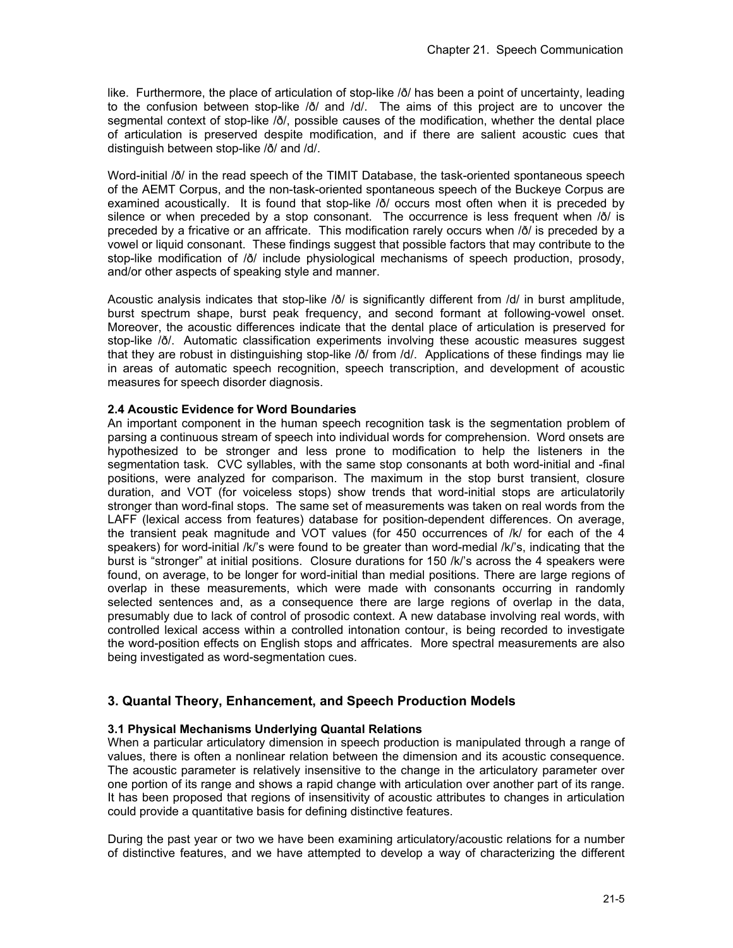like. Furthermore, the place of articulation of stop-like /ð/ has been a point of uncertainty, leading to the confusion between stop-like /ð/ and /d/. The aims of this project are to uncover the segmental context of stop-like /ð/, possible causes of the modification, whether the dental place of articulation is preserved despite modification, and if there are salient acoustic cues that distinguish between stop-like /ð/ and /d/.

Word-initial / $\delta$ / in the read speech of the TIMIT Database, the task-oriented spontaneous speech of the AEMT Corpus, and the non-task-oriented spontaneous speech of the Buckeye Corpus are examined acoustically. It is found that stop-like /ð/ occurs most often when it is preceded by silence or when preceded by a stop consonant. The occurrence is less frequent when / $\delta$ / is preceded by a fricative or an affricate. This modification rarely occurs when /ð/ is preceded by a vowel or liquid consonant. These findings suggest that possible factors that may contribute to the stop-like modification of /ð/ include physiological mechanisms of speech production, prosody, and/or other aspects of speaking style and manner.

Acoustic analysis indicates that stop-like /ð/ is significantly different from /d/ in burst amplitude, burst spectrum shape, burst peak frequency, and second formant at following-vowel onset. Moreover, the acoustic differences indicate that the dental place of articulation is preserved for stop-like /ð/. Automatic classification experiments involving these acoustic measures suggest that they are robust in distinguishing stop-like /ð/ from /d/. Applications of these findings may lie in areas of automatic speech recognition, speech transcription, and development of acoustic measures for speech disorder diagnosis.

## **2.4 Acoustic Evidence for Word Boundaries**

An important component in the human speech recognition task is the segmentation problem of parsing a continuous stream of speech into individual words for comprehension. Word onsets are hypothesized to be stronger and less prone to modification to help the listeners in the segmentation task. CVC syllables, with the same stop consonants at both word-initial and -final positions, were analyzed for comparison. The maximum in the stop burst transient, closure duration, and VOT (for voiceless stops) show trends that word-initial stops are articulatorily stronger than word-final stops. The same set of measurements was taken on real words from the LAFF (lexical access from features) database for position-dependent differences. On average, the transient peak magnitude and VOT values (for 450 occurrences of /k/ for each of the 4 speakers) for word-initial /k/'s were found to be greater than word-medial /k/'s, indicating that the burst is "stronger" at initial positions. Closure durations for 150 /k/'s across the 4 speakers were found, on average, to be longer for word-initial than medial positions. There are large regions of overlap in these measurements, which were made with consonants occurring in randomly selected sentences and, as a consequence there are large regions of overlap in the data, presumably due to lack of control of prosodic context. A new database involving real words, with controlled lexical access within a controlled intonation contour, is being recorded to investigate the word-position effects on English stops and affricates. More spectral measurements are also being investigated as word-segmentation cues.

# **3. Quantal Theory, Enhancement, and Speech Production Models**

#### **3.1 Physical Mechanisms Underlying Quantal Relations**

When a particular articulatory dimension in speech production is manipulated through a range of values, there is often a nonlinear relation between the dimension and its acoustic consequence. The acoustic parameter is relatively insensitive to the change in the articulatory parameter over one portion of its range and shows a rapid change with articulation over another part of its range. It has been proposed that regions of insensitivity of acoustic attributes to changes in articulation could provide a quantitative basis for defining distinctive features.

During the past year or two we have been examining articulatory/acoustic relations for a number of distinctive features, and we have attempted to develop a way of characterizing the different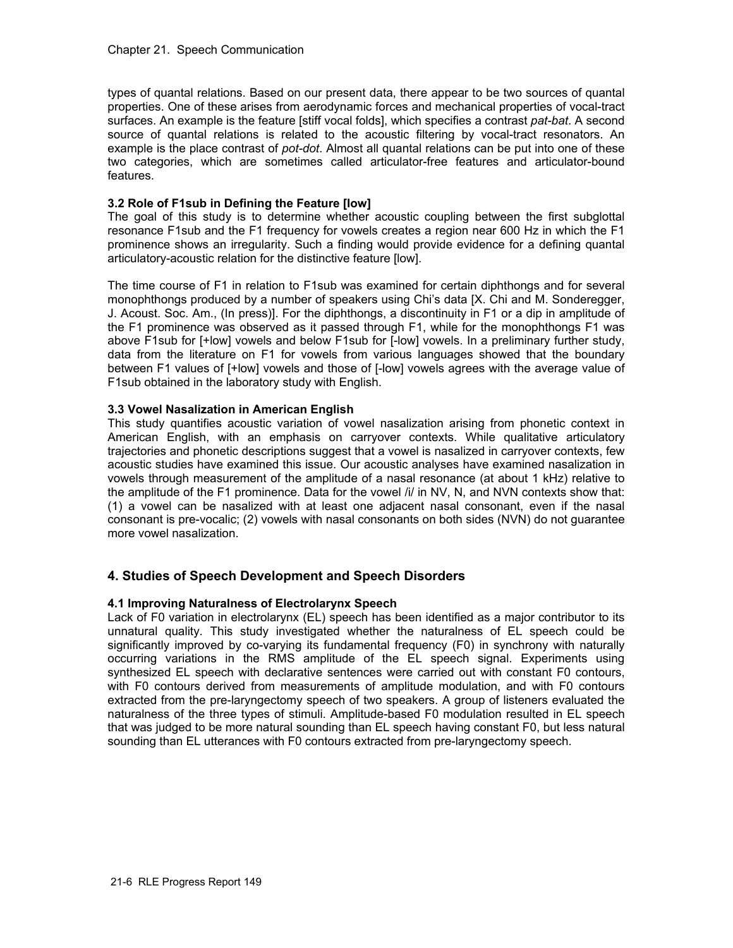types of quantal relations. Based on our present data, there appear to be two sources of quantal properties. One of these arises from aerodynamic forces and mechanical properties of vocal-tract surfaces. An example is the feature [stiff vocal folds], which specifies a contrast *pat-bat*. A second source of quantal relations is related to the acoustic filtering by vocal-tract resonators. An example is the place contrast of *pot-dot*. Almost all quantal relations can be put into one of these two categories, which are sometimes called articulator-free features and articulator-bound features.

# **3.2 Role of F1sub in Defining the Feature [low]**

The goal of this study is to determine whether acoustic coupling between the first subglottal resonance F1sub and the F1 frequency for vowels creates a region near 600 Hz in which the F1 prominence shows an irregularity. Such a finding would provide evidence for a defining quantal articulatory-acoustic relation for the distinctive feature [low].

The time course of F1 in relation to F1sub was examined for certain diphthongs and for several monophthongs produced by a number of speakers using Chi's data [X. Chi and M. Sonderegger, J. Acoust. Soc. Am., (In press)]. For the diphthongs, a discontinuity in F1 or a dip in amplitude of the F1 prominence was observed as it passed through F1, while for the monophthongs F1 was above F1sub for [+low] vowels and below F1sub for [-low] vowels. In a preliminary further study, data from the literature on F1 for vowels from various languages showed that the boundary between F1 values of [+low] vowels and those of [-low] vowels agrees with the average value of F1sub obtained in the laboratory study with English.

## **3.3 Vowel Nasalization in American English**

This study quantifies acoustic variation of vowel nasalization arising from phonetic context in American English, with an emphasis on carryover contexts. While qualitative articulatory trajectories and phonetic descriptions suggest that a vowel is nasalized in carryover contexts, few acoustic studies have examined this issue. Our acoustic analyses have examined nasalization in vowels through measurement of the amplitude of a nasal resonance (at about 1 kHz) relative to the amplitude of the F1 prominence. Data for the vowel /i/ in NV, N, and NVN contexts show that: (1) a vowel can be nasalized with at least one adjacent nasal consonant, even if the nasal consonant is pre-vocalic; (2) vowels with nasal consonants on both sides (NVN) do not guarantee more vowel nasalization.

# **4. Studies of Speech Development and Speech Disorders**

# **4.1 Improving Naturalness of Electrolarynx Speech**

Lack of F0 variation in electrolarynx (EL) speech has been identified as a major contributor to its unnatural quality. This study investigated whether the naturalness of EL speech could be significantly improved by co-varying its fundamental frequency (F0) in synchrony with naturally occurring variations in the RMS amplitude of the EL speech signal. Experiments using synthesized EL speech with declarative sentences were carried out with constant F0 contours, with F0 contours derived from measurements of amplitude modulation, and with F0 contours extracted from the pre-laryngectomy speech of two speakers. A group of listeners evaluated the naturalness of the three types of stimuli. Amplitude-based F0 modulation resulted in EL speech that was judged to be more natural sounding than EL speech having constant F0, but less natural sounding than EL utterances with F0 contours extracted from pre-laryngectomy speech.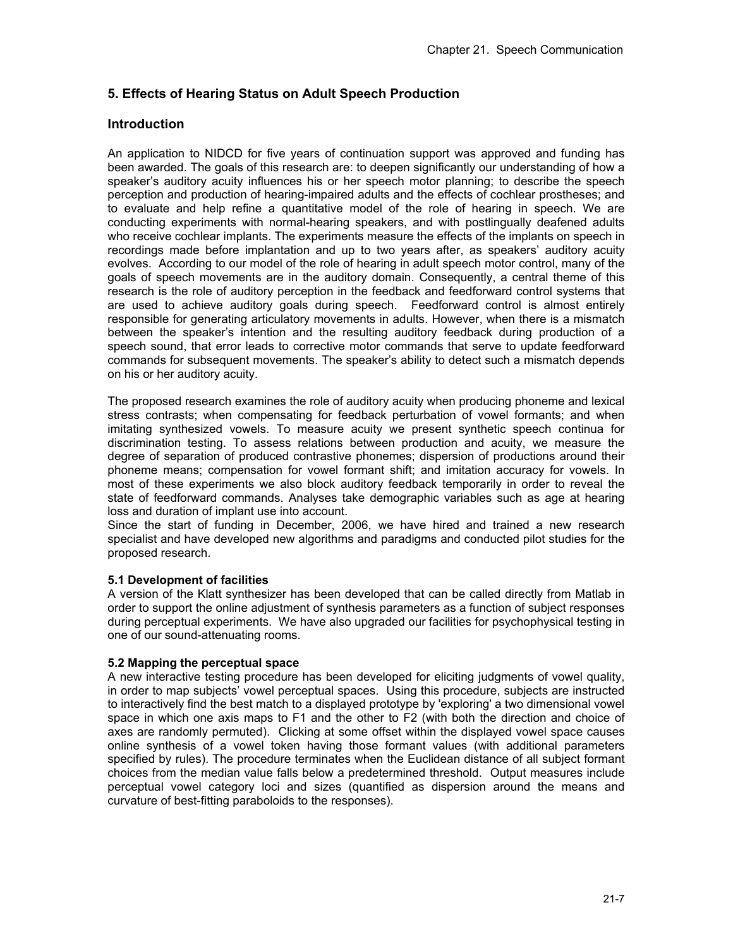# **5. Effects of Hearing Status on Adult Speech Production**

# **Introduction**

An application to NIDCD for five years of continuation support was approved and funding has been awarded. The goals of this research are: to deepen significantly our understanding of how a speaker's auditory acuity influences his or her speech motor planning; to describe the speech perception and production of hearing-impaired adults and the effects of cochlear prostheses; and to evaluate and help refine a quantitative model of the role of hearing in speech. We are conducting experiments with normal-hearing speakers, and with postlingually deafened adults who receive cochlear implants. The experiments measure the effects of the implants on speech in recordings made before implantation and up to two years after, as speakers' auditory acuity evolves. According to our model of the role of hearing in adult speech motor control, many of the goals of speech movements are in the auditory domain. Consequently, a central theme of this research is the role of auditory perception in the feedback and feedforward control systems that are used to achieve auditory goals during speech. Feedforward control is almost entirely responsible for generating articulatory movements in adults. However, when there is a mismatch between the speaker's intention and the resulting auditory feedback during production of a speech sound, that error leads to corrective motor commands that serve to update feedforward commands for subsequent movements. The speaker's ability to detect such a mismatch depends on his or her auditory acuity.

The proposed research examines the role of auditory acuity when producing phoneme and lexical stress contrasts; when compensating for feedback perturbation of vowel formants; and when imitating synthesized vowels. To measure acuity we present synthetic speech continua for discrimination testing. To assess relations between production and acuity, we measure the degree of separation of produced contrastive phonemes; dispersion of productions around their phoneme means; compensation for vowel formant shift; and imitation accuracy for vowels. In most of these experiments we also block auditory feedback temporarily in order to reveal the state of feedforward commands. Analyses take demographic variables such as age at hearing loss and duration of implant use into account.

Since the start of funding in December, 2006, we have hired and trained a new research specialist and have developed new algorithms and paradigms and conducted pilot studies for the proposed research.

# **5.1 Development of facilities**

A version of the Klatt synthesizer has been developed that can be called directly from Matlab in order to support the online adjustment of synthesis parameters as a function of subject responses during perceptual experiments. We have also upgraded our facilities for psychophysical testing in one of our sound-attenuating rooms.

#### **5.2 Mapping the perceptual space**

A new interactive testing procedure has been developed for eliciting judgments of vowel quality, in order to map subjects' vowel perceptual spaces. Using this procedure, subjects are instructed to interactively find the best match to a displayed prototype by 'exploring' a two dimensional vowel space in which one axis maps to F1 and the other to F2 (with both the direction and choice of axes are randomly permuted). Clicking at some offset within the displayed vowel space causes online synthesis of a vowel token having those formant values (with additional parameters specified by rules). The procedure terminates when the Euclidean distance of all subject formant choices from the median value falls below a predetermined threshold. Output measures include perceptual vowel category loci and sizes (quantified as dispersion around the means and curvature of best-fitting paraboloids to the responses).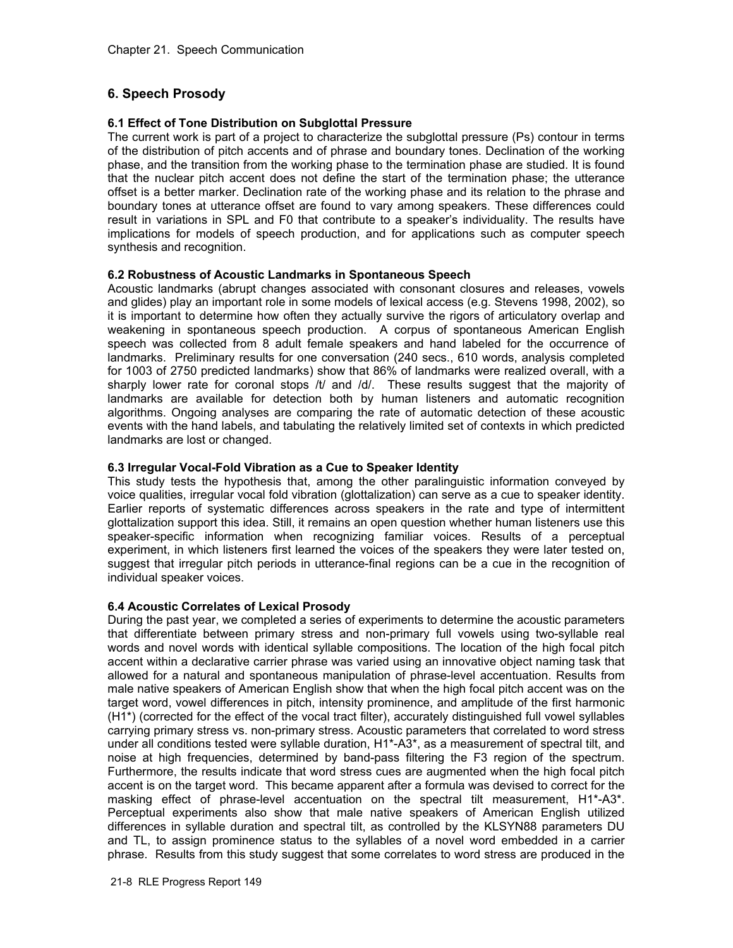# **6. Speech Prosody**

# **6.1 Effect of Tone Distribution on Subglottal Pressure**

The current work is part of a project to characterize the subglottal pressure (Ps) contour in terms of the distribution of pitch accents and of phrase and boundary tones. Declination of the working phase, and the transition from the working phase to the termination phase are studied. It is found that the nuclear pitch accent does not define the start of the termination phase; the utterance offset is a better marker. Declination rate of the working phase and its relation to the phrase and boundary tones at utterance offset are found to vary among speakers. These differences could result in variations in SPL and F0 that contribute to a speaker's individuality. The results have implications for models of speech production, and for applications such as computer speech synthesis and recognition.

## **6.2 Robustness of Acoustic Landmarks in Spontaneous Speech**

Acoustic landmarks (abrupt changes associated with consonant closures and releases, vowels and glides) play an important role in some models of lexical access (e.g. Stevens 1998, 2002), so it is important to determine how often they actually survive the rigors of articulatory overlap and weakening in spontaneous speech production. A corpus of spontaneous American English speech was collected from 8 adult female speakers and hand labeled for the occurrence of landmarks. Preliminary results for one conversation (240 secs., 610 words, analysis completed for 1003 of 2750 predicted landmarks) show that 86% of landmarks were realized overall, with a sharply lower rate for coronal stops  $/t/$  and  $/d/$ . These results suggest that the majority of landmarks are available for detection both by human listeners and automatic recognition algorithms. Ongoing analyses are comparing the rate of automatic detection of these acoustic events with the hand labels, and tabulating the relatively limited set of contexts in which predicted landmarks are lost or changed.

## **6.3 Irregular Vocal-Fold Vibration as a Cue to Speaker Identity**

This study tests the hypothesis that, among the other paralinguistic information conveyed by voice qualities, irregular vocal fold vibration (glottalization) can serve as a cue to speaker identity. Earlier reports of systematic differences across speakers in the rate and type of intermittent glottalization support this idea. Still, it remains an open question whether human listeners use this speaker-specific information when recognizing familiar voices. Results of a perceptual experiment, in which listeners first learned the voices of the speakers they were later tested on, suggest that irregular pitch periods in utterance-final regions can be a cue in the recognition of individual speaker voices.

# **6.4 Acoustic Correlates of Lexical Prosody**

During the past year, we completed a series of experiments to determine the acoustic parameters that differentiate between primary stress and non-primary full vowels using two-syllable real words and novel words with identical syllable compositions. The location of the high focal pitch accent within a declarative carrier phrase was varied using an innovative object naming task that allowed for a natural and spontaneous manipulation of phrase-level accentuation. Results from male native speakers of American English show that when the high focal pitch accent was on the target word, vowel differences in pitch, intensity prominence, and amplitude of the first harmonic (H1\*) (corrected for the effect of the vocal tract filter), accurately distinguished full vowel syllables carrying primary stress vs. non-primary stress. Acoustic parameters that correlated to word stress under all conditions tested were syllable duration, H1\*-A3\*, as a measurement of spectral tilt, and noise at high frequencies, determined by band-pass filtering the F3 region of the spectrum. Furthermore, the results indicate that word stress cues are augmented when the high focal pitch accent is on the target word. This became apparent after a formula was devised to correct for the masking effect of phrase-level accentuation on the spectral tilt measurement, H1\*-A3\*. Perceptual experiments also show that male native speakers of American English utilized differences in syllable duration and spectral tilt, as controlled by the KLSYN88 parameters DU and TL, to assign prominence status to the syllables of a novel word embedded in a carrier phrase. Results from this study suggest that some correlates to word stress are produced in the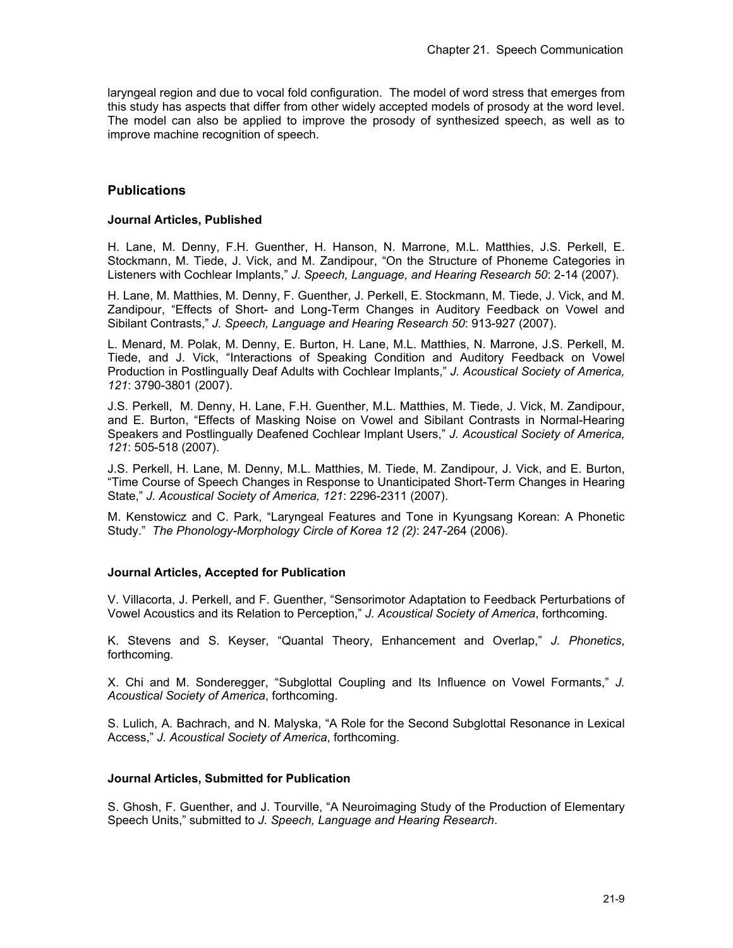laryngeal region and due to vocal fold configuration. The model of word stress that emerges from this study has aspects that differ from other widely accepted models of prosody at the word level. The model can also be applied to improve the prosody of synthesized speech, as well as to improve machine recognition of speech.

# **Publications**

#### **Journal Articles, Published**

H. Lane, M. Denny, F.H. Guenther, H. Hanson, N. Marrone, M.L. Matthies, J.S. Perkell, E. Stockmann, M. Tiede, J. Vick, and M. Zandipour, "On the Structure of Phoneme Categories in Listeners with Cochlear Implants," *J. Speech, Language, and Hearing Research 50*: 2-14 (2007).

H. Lane, M. Matthies, M. Denny, F. Guenther, J. Perkell, E. Stockmann, M. Tiede, J. Vick, and M. Zandipour, "Effects of Short- and Long-Term Changes in Auditory Feedback on Vowel and Sibilant Contrasts," *J. Speech, Language and Hearing Research 50*: 913-927 (2007).

L. Menard, M. Polak, M. Denny, E. Burton, H. Lane, M.L. Matthies, N. Marrone, J.S. Perkell, M. Tiede, and J. Vick, "Interactions of Speaking Condition and Auditory Feedback on Vowel Production in Postlingually Deaf Adults with Cochlear Implants," *J. Acoustical Society of America, 121*: 3790-3801 (2007).

J.S. Perkell, M. Denny, H. Lane, F.H. Guenther, M.L. Matthies, M. Tiede, J. Vick, M. Zandipour, and E. Burton, "Effects of Masking Noise on Vowel and Sibilant Contrasts in Normal-Hearing Speakers and Postlingually Deafened Cochlear Implant Users," *J. Acoustical Society of America, 121*: 505-518 (2007).

J.S. Perkell, H. Lane, M. Denny, M.L. Matthies, M. Tiede, M. Zandipour, J. Vick, and E. Burton, "Time Course of Speech Changes in Response to Unanticipated Short-Term Changes in Hearing State," *J. Acoustical Society of America, 121*: 2296-2311 (2007).

M. Kenstowicz and C. Park, "Laryngeal Features and Tone in Kyungsang Korean: A Phonetic Study." *The Phonology-Morphology Circle of Korea 12 (2)*: 247-264 (2006).

#### **Journal Articles, Accepted for Publication**

V. Villacorta, J. Perkell, and F. Guenther, "Sensorimotor Adaptation to Feedback Perturbations of Vowel Acoustics and its Relation to Perception," *J. Acoustical Society of America*, forthcoming.

K. Stevens and S. Keyser, "Quantal Theory, Enhancement and Overlap," *J. Phonetics*, forthcoming*.* 

X. Chi and M. Sonderegger, "Subglottal Coupling and Its Influence on Vowel Formants," *J. Acoustical Society of America*, forthcoming.

S. Lulich, A. Bachrach, and N. Malyska, "A Role for the Second Subglottal Resonance in Lexical Access," *J. Acoustical Society of America*, forthcoming.

#### **Journal Articles, Submitted for Publication**

S. Ghosh, F. Guenther, and J. Tourville, "A Neuroimaging Study of the Production of Elementary Speech Units," submitted to *J. Speech, Language and Hearing Research*.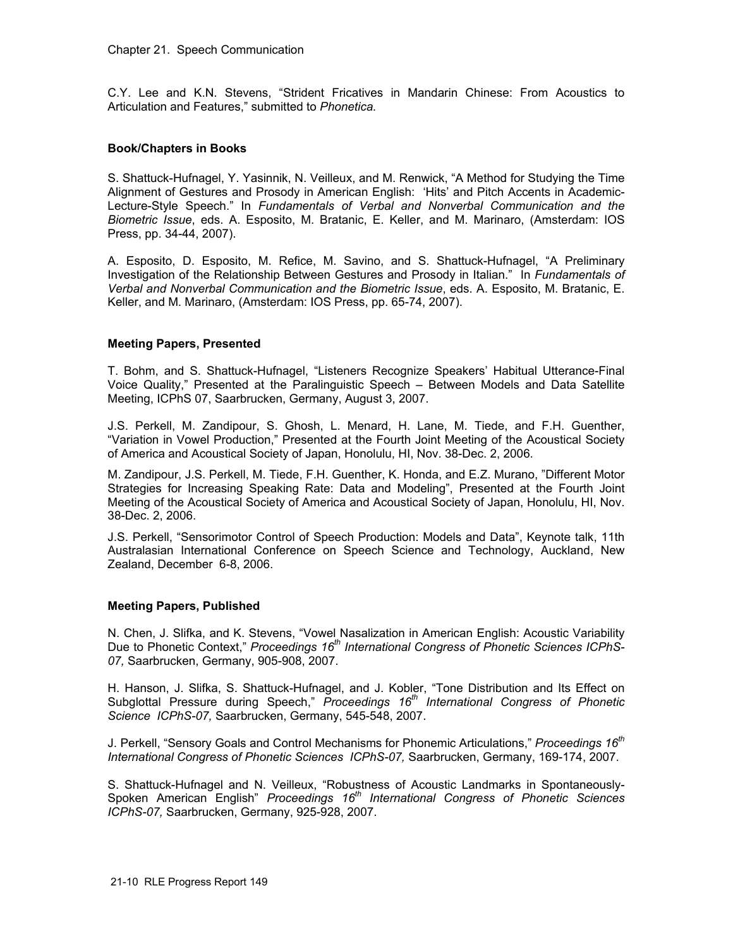C.Y. Lee and K.N. Stevens, "Strident Fricatives in Mandarin Chinese: From Acoustics to Articulation and Features," submitted to *Phonetica.* 

#### **Book/Chapters in Books**

S. Shattuck-Hufnagel, Y. Yasinnik, N. Veilleux, and M. Renwick, "A Method for Studying the Time Alignment of Gestures and Prosody in American English: 'Hits' and Pitch Accents in Academic-Lecture-Style Speech." In *Fundamentals of Verbal and Nonverbal Communication and the Biometric Issue*, eds. A. Esposito, M. Bratanic, E. Keller, and M. Marinaro, (Amsterdam: IOS Press, pp. 34-44, 2007).

 A. Esposito, D. Esposito, M. Refice, M. Savino, and S. Shattuck-Hufnagel, "A Preliminary Investigation of the Relationship Between Gestures and Prosody in Italian." In *Fundamentals of Verbal and Nonverbal Communication and the Biometric Issue*, eds. A. Esposito, M. Bratanic, E. Keller, and M. Marinaro, (Amsterdam: IOS Press, pp. 65-74, 2007).

## **Meeting Papers, Presented**

T. Bohm, and S. Shattuck-Hufnagel, "Listeners Recognize Speakers' Habitual Utterance-Final Voice Quality," Presented at the Paralinguistic Speech – Between Models and Data Satellite Meeting, ICPhS 07, Saarbrucken, Germany, August 3, 2007.

J.S. Perkell, M. Zandipour, S. Ghosh, L. Menard, H. Lane, M. Tiede, and F.H. Guenther, "Variation in Vowel Production," Presented at the Fourth Joint Meeting of the Acoustical Society of America and Acoustical Society of Japan, Honolulu, HI, Nov. 38-Dec. 2, 2006.

M. Zandipour, J.S. Perkell, M. Tiede, F.H. Guenther, K. Honda, and E.Z. Murano, "Different Motor Strategies for Increasing Speaking Rate: Data and Modeling", Presented at the Fourth Joint Meeting of the Acoustical Society of America and Acoustical Society of Japan, Honolulu, HI, Nov. 38-Dec. 2, 2006.

J.S. Perkell, "Sensorimotor Control of Speech Production: Models and Data", Keynote talk, 11th Australasian International Conference on Speech Science and Technology, Auckland, New Zealand, December 6-8, 2006.

#### **Meeting Papers, Published**

N. Chen, J. Slifka, and K. Stevens, "Vowel Nasalization in American English: Acoustic Variability Due to Phonetic Context," *Proceedings 16th International Congress of Phonetic Sciences ICPhS-07,* Saarbrucken, Germany, 905-908, 2007.

H. Hanson, J. Slifka, S. Shattuck-Hufnagel, and J. Kobler, "Tone Distribution and Its Effect on Subglottal Pressure during Speech," Proceedings 16<sup>th</sup> International Congress of Phonetic *Science ICPhS-07,* Saarbrucken, Germany, 545-548, 2007.

J. Perkell, "Sensory Goals and Control Mechanisms for Phonemic Articulations," *Proceedings 16th International Congress of Phonetic Sciences ICPhS-07,* Saarbrucken, Germany, 169-174, 2007.

S. Shattuck-Hufnagel and N. Veilleux, "Robustness of Acoustic Landmarks in Spontaneously-Spoken American English" *Proceedings 16th International Congress of Phonetic Sciences ICPhS-07,* Saarbrucken, Germany, 925-928, 2007.